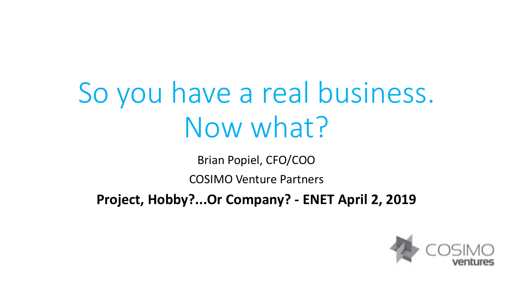# So you have a real business. Now what?

Brian Popiel, CFO/COO

COSIMO Venture Partners

**Project, Hobby?...Or Company? - ENET April 2, 2019**

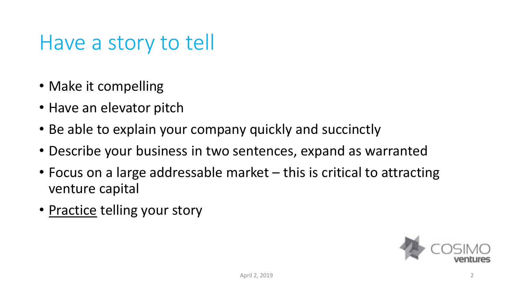#### Have a story to tell

- Make it compelling
- Have an elevator pitch
- Be able to explain your company quickly and succinctly
- Describe your business in two sentences, expand as warranted
- Focus on a large addressable market this is critical to attracting venture capital
- Practice telling your story

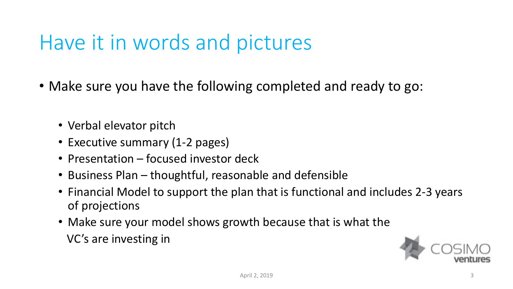#### Have it in words and pictures

- Make sure you have the following completed and ready to go:
	- Verbal elevator pitch
	- Executive summary (1-2 pages)
	- Presentation focused investor deck
	- Business Plan thoughtful, reasonable and defensible
	- Financial Model to support the plan that is functional and includes 2-3 years of projections
	- Make sure your model shows growth because that is what the VC's are investing in

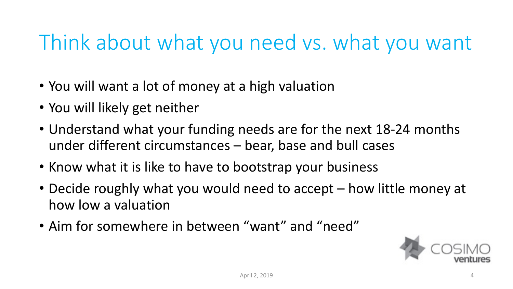#### Think about what you need vs. what you want

- You will want a lot of money at a high valuation
- You will likely get neither
- Understand what your funding needs are for the next 18-24 months under different circumstances – bear, base and bull cases
- Know what it is like to have to bootstrap your business
- Decide roughly what you would need to accept how little money at how low a valuation
- Aim for somewhere in between "want" and "need"

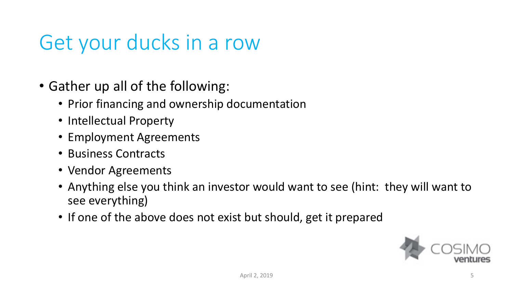#### Get your ducks in a row

- Gather up all of the following:
	- Prior financing and ownership documentation
	- Intellectual Property
	- Employment Agreements
	- Business Contracts
	- Vendor Agreements
	- Anything else you think an investor would want to see (hint: they will want to see everything)
	- If one of the above does not exist but should, get it prepared

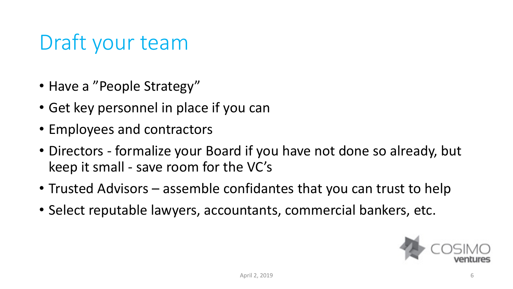#### Draft your team

- Have a "People Strategy"
- Get key personnel in place if you can
- Employees and contractors
- Directors formalize your Board if you have not done so already, but keep it small - save room for the VC's
- Trusted Advisors assemble confidantes that you can trust to help
- Select reputable lawyers, accountants, commercial bankers, etc.

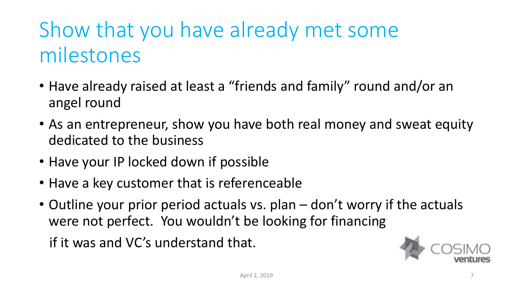## Show that you have already met some milestones

- Have already raised at least a "friends and family" round and/or an angel round
- As an entrepreneur, show you have both real money and sweat equity dedicated to the business
- Have your IP locked down if possible
- Have a key customer that is referenceable
- Outline your prior period actuals vs. plan don't worry if the actuals were not perfect. You wouldn't be looking for financing if it was and VC's understand that.

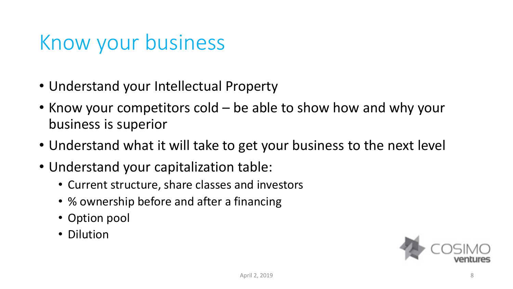#### Know your business

- Understand your Intellectual Property
- Know your competitors cold be able to show how and why your business is superior
- Understand what it will take to get your business to the next level
- Understand your capitalization table:
	- Current structure, share classes and investors
	- % ownership before and after a financing
	- Option pool
	- Dilution

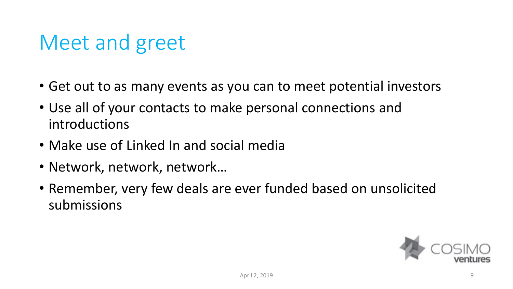#### Meet and greet

- Get out to as many events as you can to meet potential investors
- Use all of your contacts to make personal connections and introductions
- Make use of Linked In and social media
- Network, network, network…
- Remember, very few deals are ever funded based on unsolicited submissions

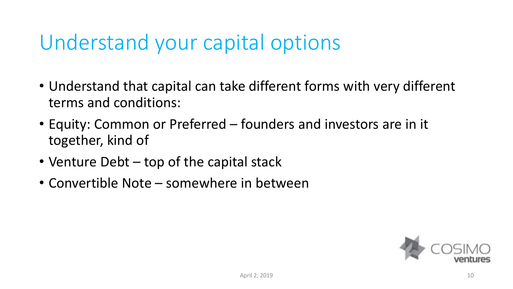#### Understand your capital options

- Understand that capital can take different forms with very different terms and conditions:
- Equity: Common or Preferred founders and investors are in it together, kind of
- Venture Debt top of the capital stack
- Convertible Note somewhere in between

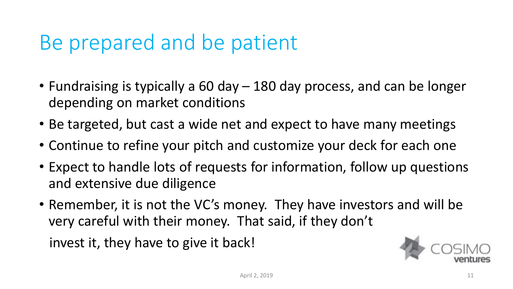#### Be prepared and be patient

- Fundraising is typically a 60 day 180 day process, and can be longer depending on market conditions
- Be targeted, but cast a wide net and expect to have many meetings
- Continue to refine your pitch and customize your deck for each one
- Expect to handle lots of requests for information, follow up questions and extensive due diligence
- Remember, it is not the VC's money. They have investors and will be very careful with their money. That said, if they don't

invest it, they have to give it back!

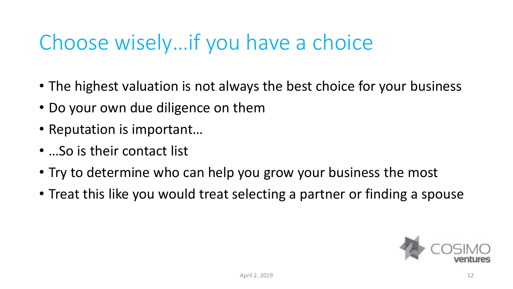#### Choose wisely…if you have a choice

- The highest valuation is not always the best choice for your business
- Do your own due diligence on them
- Reputation is important…
- ...So is their contact list
- Try to determine who can help you grow your business the most
- Treat this like you would treat selecting a partner or finding a spouse

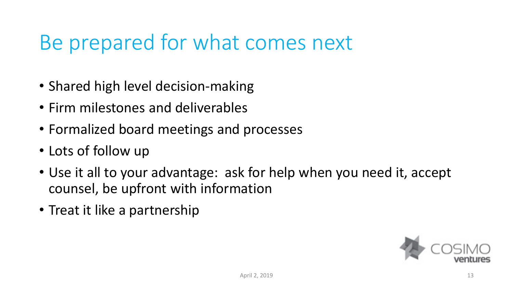#### Be prepared for what comes next

- Shared high level decision-making
- Firm milestones and deliverables
- Formalized board meetings and processes
- Lots of follow up
- Use it all to your advantage: ask for help when you need it, accept counsel, be upfront with information
- Treat it like a partnership